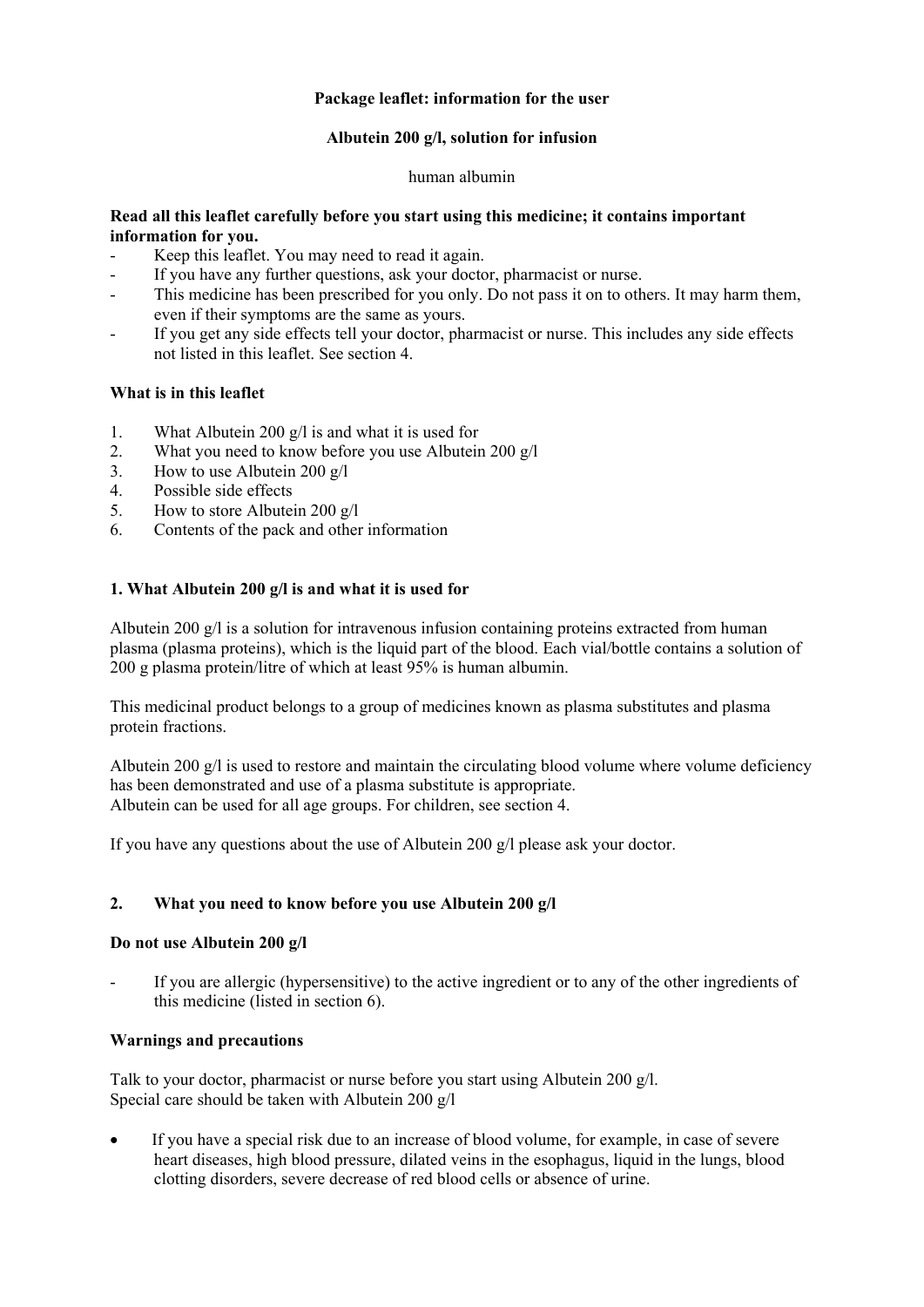# **Package leaflet: information for the user**

### **Albutein 200 g/l, solution for infusion**

#### human albumin

### **Read all this leaflet carefully before you start using this medicine; it contains important information for you.**

- Keep this leaflet. You may need to read it again.
- If you have any further questions, ask your doctor, pharmacist or nurse.
- This medicine has been prescribed for you only. Do not pass it on to others. It may harm them, even if their symptoms are the same as yours.
- If you get any side effects tell your doctor, pharmacist or nurse. This includes any side effects not listed in this leaflet. See section 4.

# **What is in this leaflet**

- 1. What Albutein 200 g/l is and what it is used for
- 2. What you need to know before you use Albutein 200 g/l
- 3. How to use Albutein 200 g/l
- 4. Possible side effects
- 5. How to store Albutein 200 g/l
- 6. Contents of the pack and other information

# **1. What Albutein 200 g/l is and what it is used for**

Albutein 200 g/l is a solution for intravenous infusion containing proteins extracted from human plasma (plasma proteins), which is the liquid part of the blood. Each vial/bottle contains a solution of 200 g plasma protein/litre of which at least 95% is human albumin.

This medicinal product belongs to a group of medicines known as plasma substitutes and plasma protein fractions.

Albutein 200 g/l is used to restore and maintain the circulating blood volume where volume deficiency has been demonstrated and use of a plasma substitute is appropriate. Albutein can be used for all age groups. For children, see section 4.

If you have any questions about the use of Albutein 200  $\alpha$ /l please ask your doctor.

### **2. What you need to know before you use Albutein 200 g/l**

### **Do not use Albutein 200 g/l**

If you are allergic (hypersensitive) to the active ingredient or to any of the other ingredients of this medicine (listed in section 6).

### **Warnings and precautions**

Talk to your doctor, pharmacist or nurse before you start using Albutein 200 g/l. Special care should be taken with Albutein 200 g/l

 If you have a special risk due to an increase of blood volume, for example, in case of severe heart diseases, high blood pressure, dilated veins in the esophagus, liquid in the lungs, blood clotting disorders, severe decrease of red blood cells or absence of urine.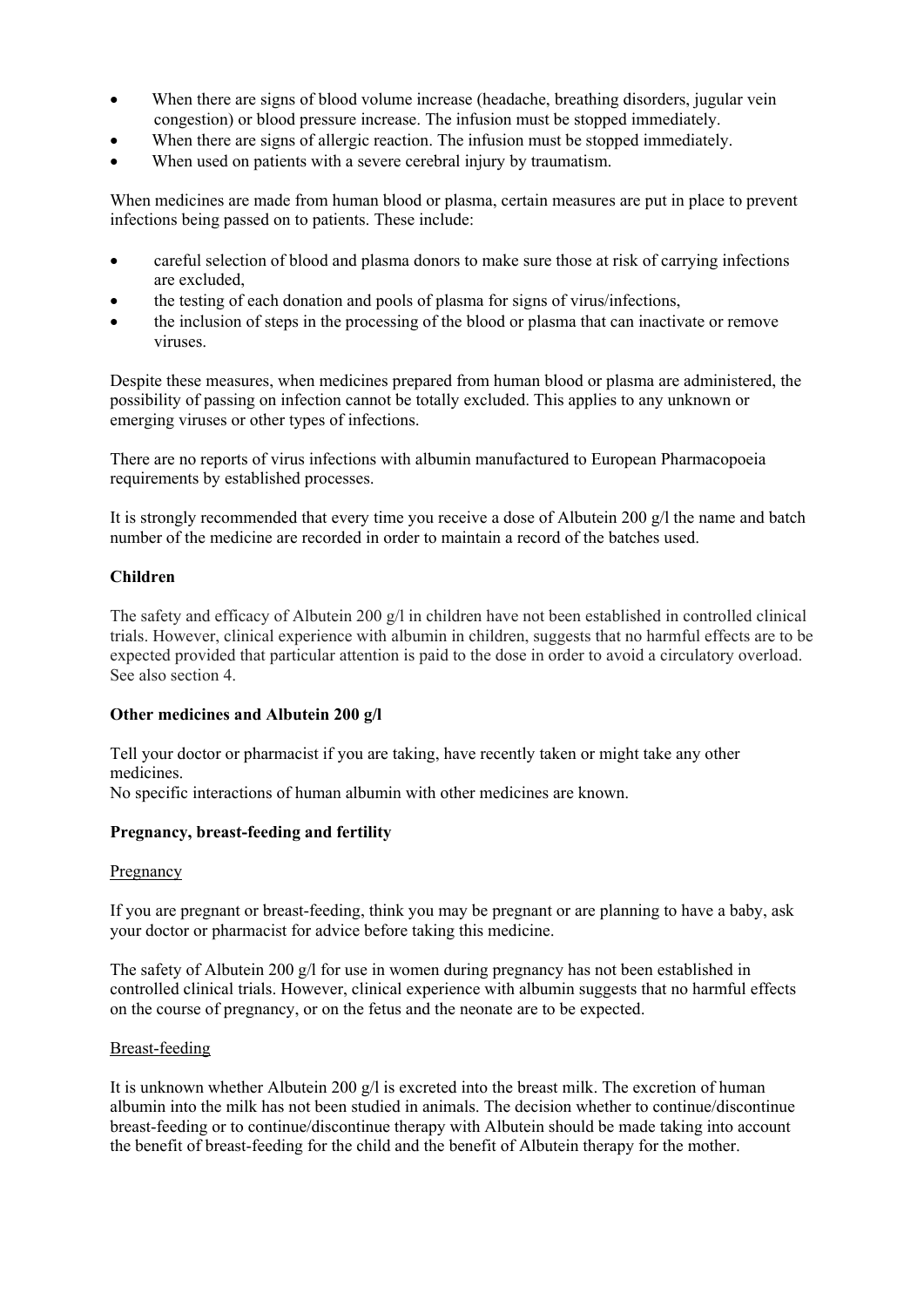- When there are signs of blood volume increase (headache, breathing disorders, jugular vein congestion) or blood pressure increase. The infusion must be stopped immediately.
- When there are signs of allergic reaction. The infusion must be stopped immediately.
- When used on patients with a severe cerebral injury by traumatism.

When medicines are made from human blood or plasma, certain measures are put in place to prevent infections being passed on to patients. These include:

- careful selection of blood and plasma donors to make sure those at risk of carrying infections are excluded,
- the testing of each donation and pools of plasma for signs of virus/infections,
- the inclusion of steps in the processing of the blood or plasma that can inactivate or remove viruses.

Despite these measures, when medicines prepared from human blood or plasma are administered, the possibility of passing on infection cannot be totally excluded. This applies to any unknown or emerging viruses or other types of infections.

There are no reports of virus infections with albumin manufactured to European Pharmacopoeia requirements by established processes.

It is strongly recommended that every time you receive a dose of Albutein 200  $g/l$  the name and batch number of the medicine are recorded in order to maintain a record of the batches used.

### **Children**

The safety and efficacy of Albutein 200 g/l in children have not been established in controlled clinical trials. However, clinical experience with albumin in children, suggests that no harmful effects are to be expected provided that particular attention is paid to the dose in order to avoid a circulatory overload. See also section 4.

### **Other medicines and Albutein 200 g/l**

Tell your doctor or pharmacist if you are taking, have recently taken or might take any other medicines.

No specific interactions of human albumin with other medicines are known.

### **Pregnancy, breast-feeding and fertility**

### Pregnancy

If you are pregnant or breast-feeding, think you may be pregnant or are planning to have a baby, ask your doctor or pharmacist for advice before taking this medicine.

The safety of Albutein 200 g/l for use in women during pregnancy has not been established in controlled clinical trials. However, clinical experience with albumin suggests that no harmful effects on the course of pregnancy, or on the fetus and the neonate are to be expected.

### Breast-feeding

It is unknown whether Albutein 200 g/l is excreted into the breast milk. The excretion of human albumin into the milk has not been studied in animals. The decision whether to continue/discontinue breast-feeding or to continue/discontinue therapy with Albutein should be made taking into account the benefit of breast-feeding for the child and the benefit of Albutein therapy for the mother.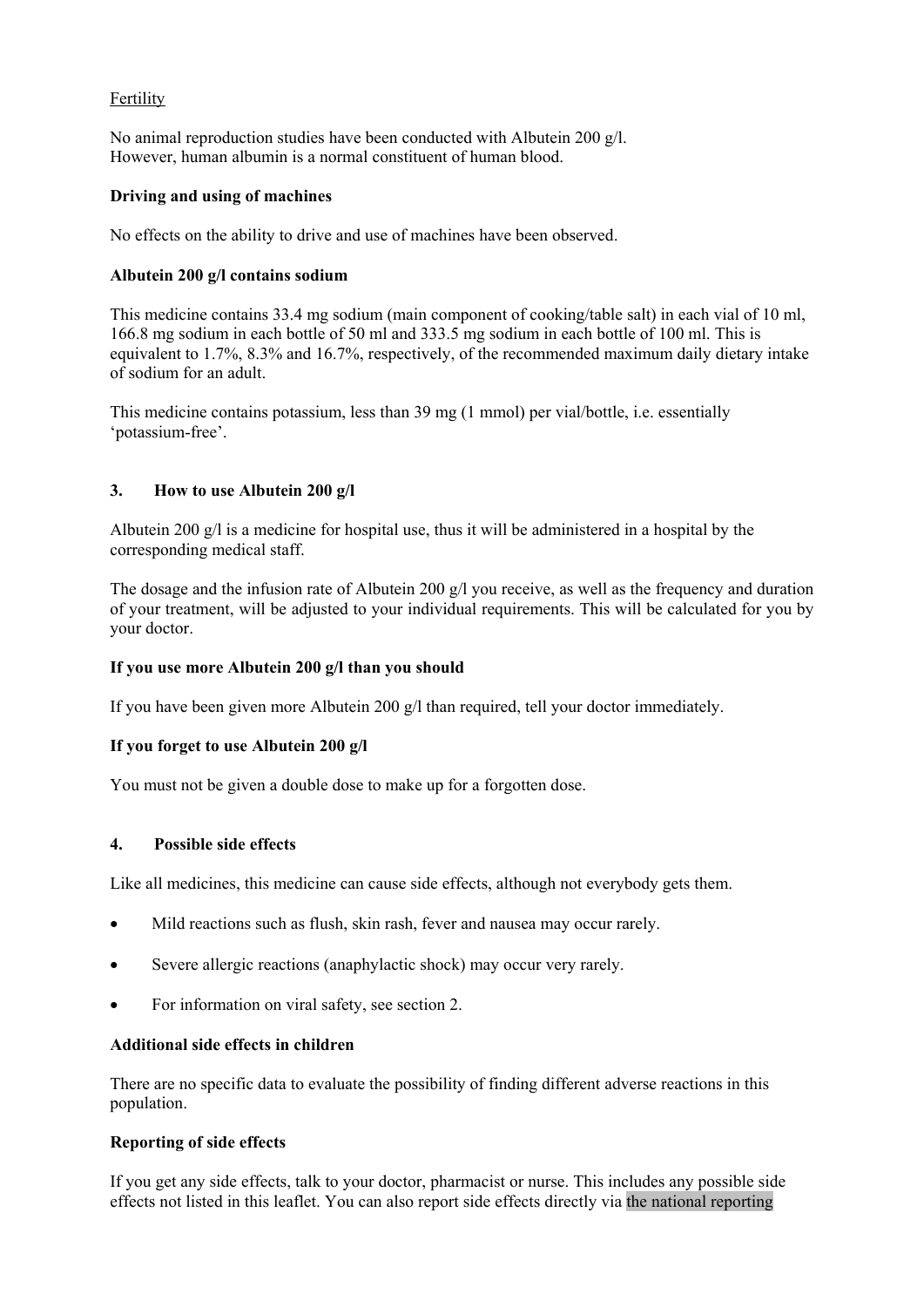# Fertility

No animal reproduction studies have been conducted with Albutein 200 g/l. However, human albumin is a normal constituent of human blood.

### **Driving and using of machines**

No effects on the ability to drive and use of machines have been observed.

# **Albutein 200 g/l contains sodium**

This medicine contains 33.4 mg sodium (main component of cooking/table salt) in each vial of 10 ml, 166.8 mg sodium in each bottle of 50 ml and 333.5 mg sodium in each bottle of 100 ml. This is equivalent to 1.7%, 8.3% and 16.7%, respectively, of the recommended maximum daily dietary intake of sodium for an adult.

This medicine contains potassium, less than 39 mg (1 mmol) per vial/bottle, i.e. essentially 'potassium-free'.

# **3. How to use Albutein 200 g/l**

Albutein 200 g/l is a medicine for hospital use, thus it will be administered in a hospital by the corresponding medical staff.

The dosage and the infusion rate of Albutein 200 g/l you receive, as well as the frequency and duration of your treatment, will be adjusted to your individual requirements. This will be calculated for you by your doctor.

### **If you use more Albutein 200 g/l than you should**

If you have been given more Albutein 200 g/l than required, tell your doctor immediately.

### **If you forget to use Albutein 200 g/l**

You must not be given a double dose to make up for a forgotten dose.

### **4. Possible side effects**

Like all medicines, this medicine can cause side effects, although not everybody gets them.

- Mild reactions such as flush, skin rash, fever and nausea may occur rarely.
- Severe allergic reactions (anaphylactic shock) may occur very rarely.
- For information on viral safety, see section 2.

# **Additional side effects in children**

There are no specific data to evaluate the possibility of finding different adverse reactions in this population.

### **Reporting of side effects**

If you get any side effects, talk to your doctor, pharmacist or nurse. This includes any possible side effects not listed in this leaflet. You can also report side effects directly via the national reporting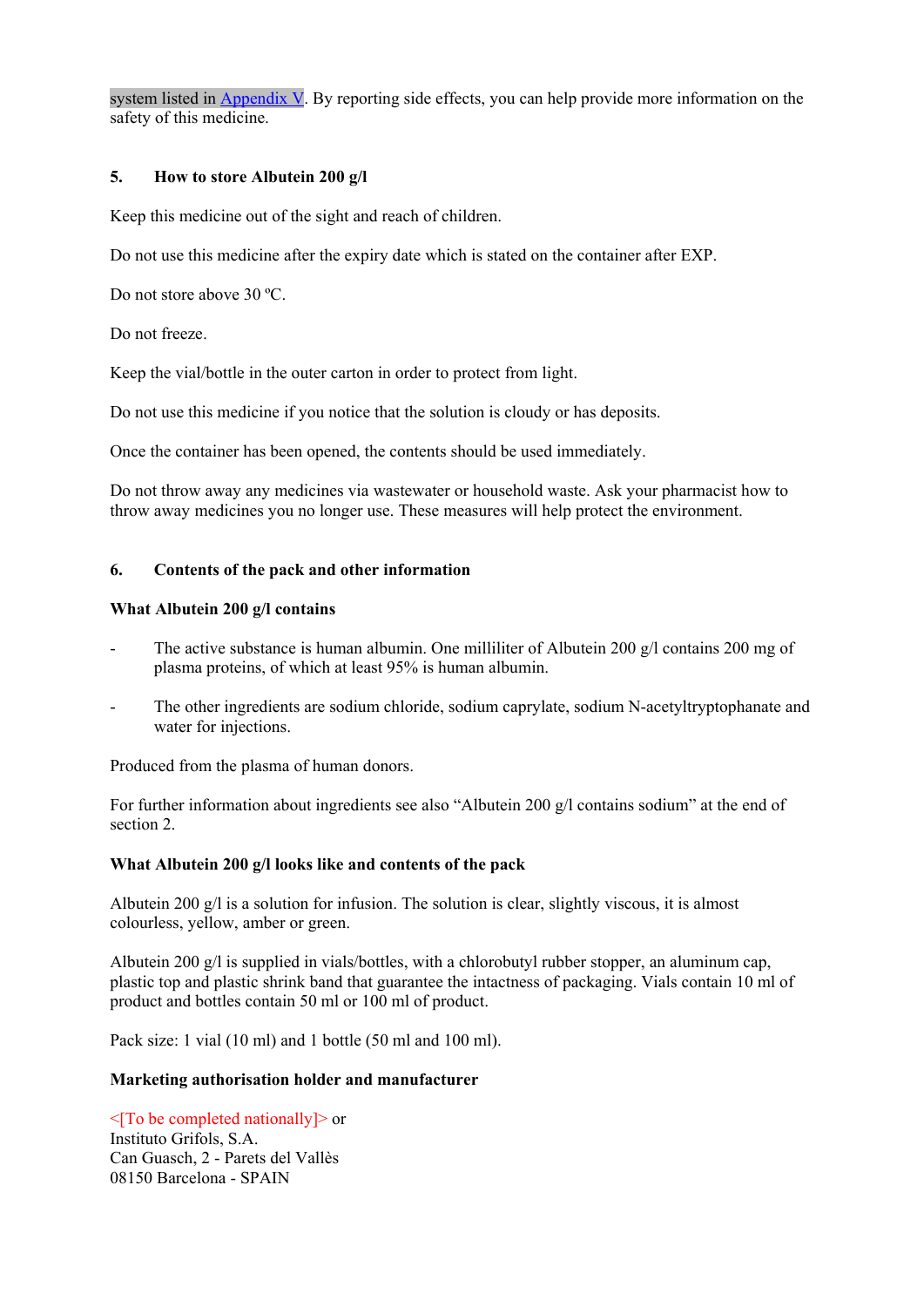system listed in Appendix V. By reporting side effects, you can help provide more information on the safety of this medicine.

### **5. How to store Albutein 200 g/l**

Keep this medicine out of the sight and reach of children.

Do not use this medicine after the expiry date which is stated on the container after EXP.

Do not store above 30 ºC.

Do not freeze.

Keep the vial/bottle in the outer carton in order to protect from light.

Do not use this medicine if you notice that the solution is cloudy or has deposits.

Once the container has been opened, the contents should be used immediately.

Do not throw away any medicines via wastewater or household waste. Ask your pharmacist how to throw away medicines you no longer use. These measures will help protect the environment.

# **6. Contents of the pack and other information**

### **What Albutein 200 g/l contains**

- The active substance is human albumin. One milliliter of Albutein 200  $g/l$  contains 200 mg of plasma proteins, of which at least 95% is human albumin.
- The other ingredients are sodium chloride, sodium caprylate, sodium N-acetyltryptophanate and water for injections.

Produced from the plasma of human donors.

For further information about ingredients see also "Albutein 200 g/l contains sodium" at the end of section 2.

### **What Albutein 200 g/l looks like and contents of the pack**

Albutein 200 g/l is a solution for infusion. The solution is clear, slightly viscous, it is almost colourless, yellow, amber or green.

Albutein 200 g/l is supplied in vials/bottles, with a chlorobutyl rubber stopper, an aluminum cap, plastic top and plastic shrink band that guarantee the intactness of packaging. Vials contain 10 ml of product and bottles contain 50 ml or 100 ml of product.

Pack size: 1 vial (10 ml) and 1 bottle (50 ml and 100 ml).

### **Marketing authorisation holder and manufacturer**

 $\leq$ [To be completed nationally] $>$  or Instituto Grifols, S.A. Can Guasch, 2 - Parets del Vallès 08150 Barcelona - SPAIN